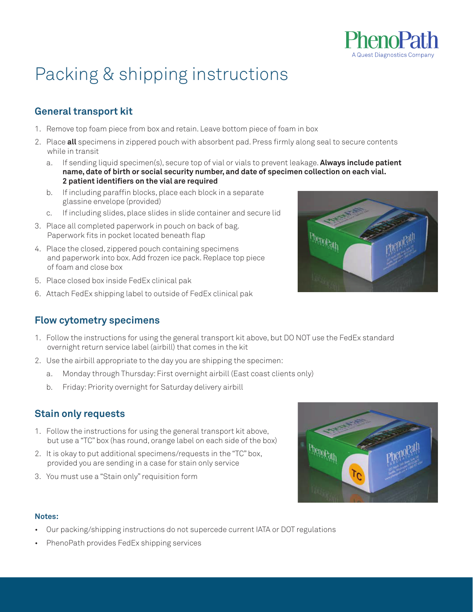

# Packing & shipping instructions

## **General transport kit**

- 1. Remove top foam piece from box and retain. Leave bottom piece of foam in box
- 2. Place **all** specimens in zippered pouch with absorbent pad. Press firmly along seal to secure contents while in transit
	- a. If sending liquid specimen(s), secure top of vial or vials to prevent leakage. **Always include patient name, date of birth or social security number, and date of specimen collection on each vial. 2 patient identifiers on the vial are required**
	- b. If including paraffin blocks, place each block in a separate glassine envelope (provided)
	- c. If including slides, place slides in slide container and secure lid
- 3. Place all completed paperwork in pouch on back of bag. Paperwork fits in pocket located beneath flap
- 4. Place the closed, zippered pouch containing specimens and paperwork into box. Add frozen ice pack. Replace top piece of foam and close box
- 5. Place closed box inside FedEx clinical pak
- 6. Attach FedEx shipping label to outside of FedEx clinical pak

## **Flow cytometry specimens**

- 1. Follow the instructions for using the general transport kit above, but DO NOT use the FedEx standard overnight return service label (airbill) that comes in the kit
- 2. Use the airbill appropriate to the day you are shipping the specimen:
	- a. Monday through Thursday: First overnight airbill (East coast clients only)
	- b. Friday: Priority overnight for Saturday delivery airbill

### **Stain only requests**

- 1. Follow the instructions for using the general transport kit above, but use a "TC" box (has round, orange label on each side of the box)
- 2. It is okay to put additional specimens/requests in the "TC" box, provided you are sending in a case for stain only service
- 3. You must use a "Stain only" requisition form



#### **Notes:**

- Our packing/shipping instructions do not supercede current IATA or DOT regulations
- PhenoPath provides FedEx shipping services